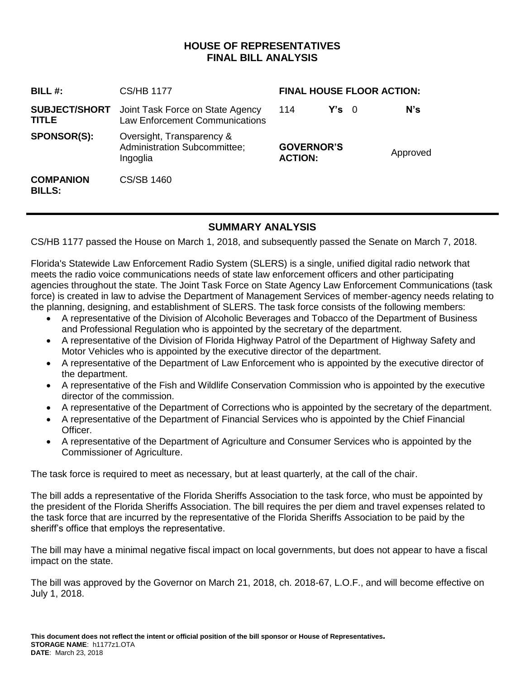# **HOUSE OF REPRESENTATIVES FINAL BILL ANALYSIS**

| BILL#:                               | CS/HB 1177                                                                   | <b>FINAL HOUSE FLOOR ACTION:</b>    |               |  |          |
|--------------------------------------|------------------------------------------------------------------------------|-------------------------------------|---------------|--|----------|
| <b>SUBJECT/SHORT</b><br><b>TITLE</b> | Joint Task Force on State Agency<br><b>Law Enforcement Communications</b>    | 114                                 | $Y's \quad 0$ |  | $N$ 's   |
| <b>SPONSOR(S):</b>                   | Oversight, Transparency &<br><b>Administration Subcommittee;</b><br>Ingoglia | <b>GOVERNOR'S</b><br><b>ACTION:</b> |               |  | Approved |
| <b>COMPANION</b><br><b>BILLS:</b>    | CS/SB 1460                                                                   |                                     |               |  |          |

### **SUMMARY ANALYSIS**

CS/HB 1177 passed the House on March 1, 2018, and subsequently passed the Senate on March 7, 2018.

Florida's Statewide Law Enforcement Radio System (SLERS) is a single, unified digital radio network that meets the radio voice communications needs of state law enforcement officers and other participating agencies throughout the state. The Joint Task Force on State Agency Law Enforcement Communications (task force) is created in law to advise the Department of Management Services of member-agency needs relating to the planning, designing, and establishment of SLERS. The task force consists of the following members:

- A representative of the Division of Alcoholic Beverages and Tobacco of the Department of Business and Professional Regulation who is appointed by the secretary of the department.
- A representative of the Division of Florida Highway Patrol of the Department of Highway Safety and Motor Vehicles who is appointed by the executive director of the department.
- A representative of the Department of Law Enforcement who is appointed by the executive director of the department.
- A representative of the Fish and Wildlife Conservation Commission who is appointed by the executive director of the commission.
- A representative of the Department of Corrections who is appointed by the secretary of the department.
- A representative of the Department of Financial Services who is appointed by the Chief Financial Officer.
- A representative of the Department of Agriculture and Consumer Services who is appointed by the Commissioner of Agriculture.

The task force is required to meet as necessary, but at least quarterly, at the call of the chair.

The bill adds a representative of the Florida Sheriffs Association to the task force, who must be appointed by the president of the Florida Sheriffs Association. The bill requires the per diem and travel expenses related to the task force that are incurred by the representative of the Florida Sheriffs Association to be paid by the sheriff's office that employs the representative.

The bill may have a minimal negative fiscal impact on local governments, but does not appear to have a fiscal impact on the state.

The bill was approved by the Governor on March 21, 2018, ch. 2018-67, L.O.F., and will become effective on July 1, 2018.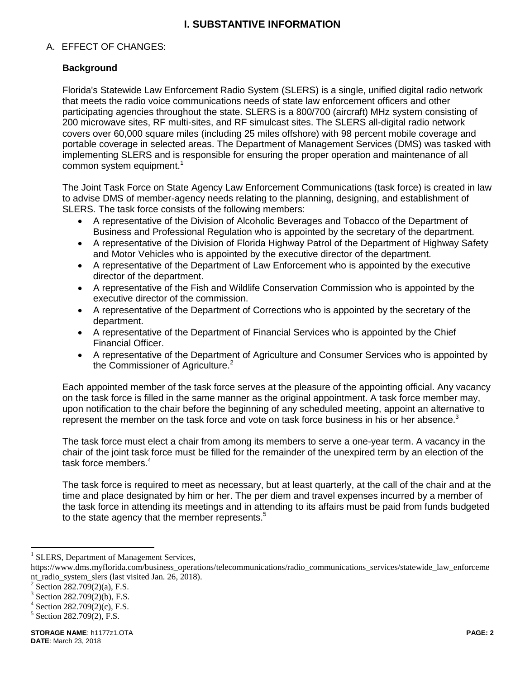# **I. SUBSTANTIVE INFORMATION**

#### A. EFFECT OF CHANGES:

#### **Background**

Florida's Statewide Law Enforcement Radio System (SLERS) is a single, unified digital radio network that meets the radio voice communications needs of state law enforcement officers and other participating agencies throughout the state. SLERS is a 800/700 (aircraft) MHz system consisting of 200 microwave sites, RF multi-sites, and RF simulcast sites. The SLERS all-digital radio network covers over 60,000 square miles (including 25 miles offshore) with 98 percent mobile coverage and portable coverage in selected areas. The Department of Management Services (DMS) was tasked with implementing SLERS and is responsible for ensuring the proper operation and maintenance of all common system equipment.<sup>1</sup>

The Joint Task Force on State Agency Law Enforcement Communications (task force) is created in law to advise DMS of member-agency needs relating to the planning, designing, and establishment of SLERS. The task force consists of the following members:

- A representative of the Division of Alcoholic Beverages and Tobacco of the Department of Business and Professional Regulation who is appointed by the secretary of the department.
- A representative of the Division of Florida Highway Patrol of the Department of Highway Safety and Motor Vehicles who is appointed by the executive director of the department.
- A representative of the Department of Law Enforcement who is appointed by the executive director of the department.
- A representative of the Fish and Wildlife Conservation Commission who is appointed by the executive director of the commission.
- A representative of the Department of Corrections who is appointed by the secretary of the department.
- A representative of the Department of Financial Services who is appointed by the Chief Financial Officer.
- A representative of the Department of Agriculture and Consumer Services who is appointed by the Commissioner of Agriculture.<sup>2</sup>

Each appointed member of the task force serves at the pleasure of the appointing official. Any vacancy on the task force is filled in the same manner as the original appointment. A task force member may, upon notification to the chair before the beginning of any scheduled meeting, appoint an alternative to represent the member on the task force and vote on task force business in his or her absence.<sup>3</sup>

The task force must elect a chair from among its members to serve a one-year term. A vacancy in the chair of the joint task force must be filled for the remainder of the unexpired term by an election of the task force members.<sup>4</sup>

The task force is required to meet as necessary, but at least quarterly, at the call of the chair and at the time and place designated by him or her. The per diem and travel expenses incurred by a member of the task force in attending its meetings and in attending to its affairs must be paid from funds budgeted to the state agency that the member represents.<sup>5</sup>

 $\overline{a}$ 

<sup>&</sup>lt;sup>1</sup> SLERS, Department of Management Services,

https://www.dms.myflorida.com/business\_operations/telecommunications/radio\_communications\_services/statewide\_law\_enforceme nt\_radio\_system\_slers (last visited Jan. 26, 2018).

<sup>&</sup>lt;sup>2</sup> Section 282.709(2)(a), F.S.

 $3$  Section 282.709(2)(b), F.S.

 $4$  Section 282.709(2)(c), F.S.

<sup>&</sup>lt;sup>5</sup> Section 282.709(2), F.S.